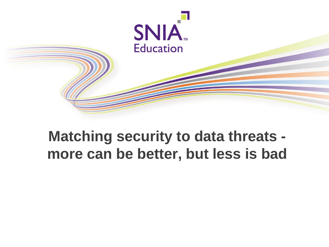

# **Matching security to data threats more can be better, but less is bad**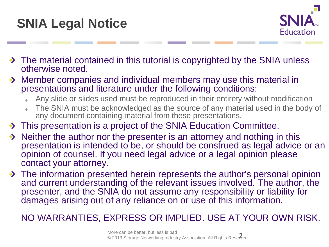



- The material contained in this tutorial is copyrighted by the SNIA unless otherwise noted.
- Member companies and individual members may use this material in presentations and literature under the following conditions:
	- Any slide or slides used must be reproduced in their entirety without modification
	- The SNIA must be acknowledged as the source of any material used in the body of any document containing material from these presentations.
- $\rightarrow$  This presentation is a project of the SNIA Education Committee.
- Neither the author nor the presenter is an attorney and nothing in this presentation is intended to be, or should be construed as legal advice or an opinion of counsel. If you need legal advice or a legal opinion please contact your attorney.
- ◆ The information presented herein represents the author's personal opinion and current understanding of the relevant issues involved. The author, the presenter, and the SNIA do not assume any responsibility or liability for damages arising out of any reliance on or use of this information.

#### NO WARRANTIES, EXPRESS OR IMPLIED. USE AT YOUR OWN RISK.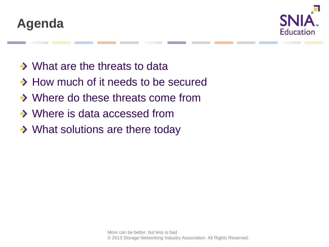



- ◆ What are the threats to data
- ◆ How much of it needs to be secured
- ◆ Where do these threats come from
- ◆ Where is data accessed from
- ◆ What solutions are there today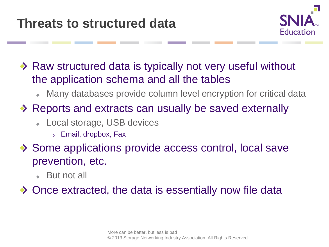

◆ Raw structured data is typically not very useful without the application schema and all the tables

- Many databases provide column level encryption for critical data  $\ddot{\bullet}$
- ◆ Reports and extracts can usually be saved externally
	- Local storage, USB devices
		- $>$  Email, dropbox, Fax
- ◆ Some applications provide access control, local save prevention, etc.
	- But not all

◆ Once extracted, the data is essentially now file data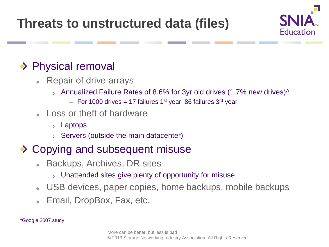**Threats to unstructured data (files)**



#### ◆ Physical removal

- Repair of drive arrays
	- $\lambda$  Annualized Failure Rates of 8.6% for 3yr old drives (1.7% new drives)  $\lambda$ 
		- $-$  For 1000 drives = 17 failures 1<sup>st</sup> year, 86 failures 3<sup>rd</sup> year
- $\overline{\phantom{a}}$  Loss or theft of hardware
	- Laptops
	- $\rightarrow$  Servers (outside the main datacenter)

#### ◆ Copying and subsequent misuse

- ◆ Backups, Archives, DR sites
	- $\rightarrow$  Unattended sites give plenty of opportunity for misuse
- USB devices, paper copies, home backups, mobile backups
- Email, DropBox, Fax, etc.

^Google 2007 study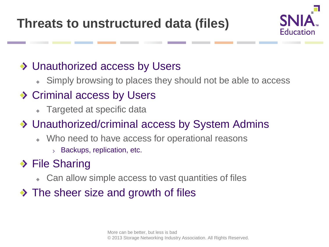**Threats to unstructured data (files)**



#### ◆ Unauthorized access by Users

Simply browsing to places they should not be able to access  $\Phi$  .

### ◆ Criminal access by Users

• Targeted at specific data

#### Unauthorized/criminal access by System Admins

- Who need to have access for operational reasons
	- $>$  Backups, replication, etc.

### ◆ File Sharing

- Can allow simple access to vast quantities of files  $\bullet$  .
- $\rightarrow$  The sheer size and growth of files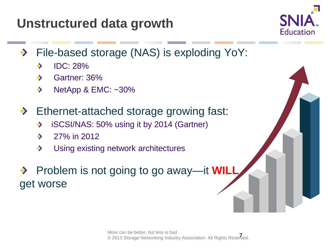#### More can be better, but less is bad wore can be better, but less is bad<br>© 2013 Storage Networking Industry Association. All Rights Reserved.

### **Unstructured data growth**

- File-based storage (NAS) is exploding YoY: ◆
	- $\blacktriangleright$  IDC: 28%
	- Sartner: 36%
	- $\blacklozenge$  NetApp & EMC: ~30%
- ◆ Ethernet-attached storage growing fast:
	- ◆ iSCSI/NAS: 50% using it by 2014 (Gartner)
	- $27\%$  in 2012
	- ◆ Using existing network architectures
- Problem is not going to go away—it **WILL** get worse

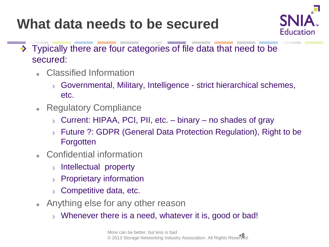# **What data needs to be secured**



- Typically there are four categories of file data that need to be  $\rightarrow$ secured:
	- Classified Information
		- $\rightarrow$  Governmental, Military, Intelligence strict hierarchical schemes, etc.
	- Regulatory Compliance
		- $\rightarrow$  Current: HIPAA, PCI, PII, etc. binary no shades of gray
		- Future ?: GDPR (General Data Protection Regulation), Right to be  $\sum$ **Forgotten**
	- Confidential information
		- $\rightarrow$  Intellectual property
		- $\rightarrow$  Proprietary information
		- $\rightarrow$  Competitive data, etc.
	- Anything else for any other reason
		- $\rightarrow$  Whenever there is a need, whatever it is, good or bad!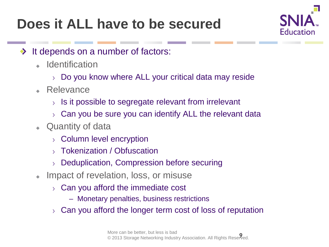# **Does it ALL have to be secured**



- It depends on a number of factors: ◆
	- **Identification** 
		- $\rightarrow$  Do you know where ALL your critical data may reside
	- Relevance
		- $\rightarrow$  Is it possible to segregate relevant from irrelevant
		- $\rightarrow$  Can you be sure you can identify ALL the relevant data
	- Quantity of data
		- $\rightarrow$  Column level encryption
		- Tokenization / Obfuscation
		- $\rightarrow$  Deduplication, Compression before securing
	- Impact of revelation, loss, or misuse
		- $\rightarrow$  Can you afford the immediate cost
			- Monetary penalties, business restrictions
		- Can you afford the longer term cost of loss of reputation  $\sum$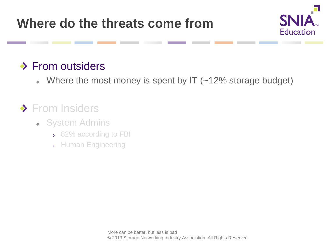

#### **◆ From outsiders**

Where the most money is spent by IT (~12% storage budget)  $\blacklozenge$ 

### ◆ From Insiders

- System Admins
	- > 82% according to FBI
	- > Human Engineering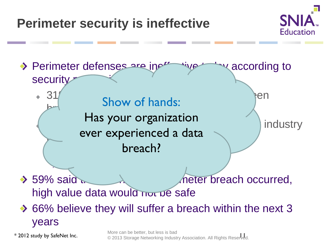## **Perimeter security is ineffective**





\* 2012 study by SafeNet Inc.

More can be better, but less is bad wore can be better, but less is bad<br>© 2013 Storage Networking Industry Association. All Rights Reserved.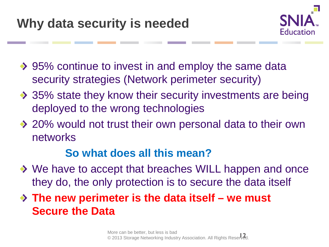

- ◆ 95% continue to invest in and employ the same data security strategies (Network perimeter security)
- ◆ 35% state they know their security investments are being deployed to the wrong technologies
- ◆ 20% would not trust their own personal data to their own networks

#### **So what does all this mean?**

- ◆ We have to accept that breaches WILL happen and once they do, the only protection is to secure the data itself
- **The new perimeter is the data itself – we must Secure the Data**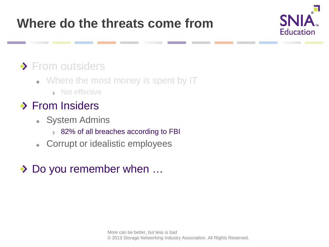### **Where do the threats come from**



#### ◆ From outsiders

- Where the most money is spent by IT
	- Not effective

### **◆ From Insiders**

- System Admins  $\Phi$  .
	- $\rightarrow$  82% of all breaches according to FBI
- Corrupt or idealistic employees  $\Phi^{(1)}$

#### ◆ Do you remember when ...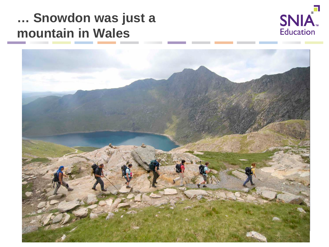### **… Snowdon was just a mountain in Wales**



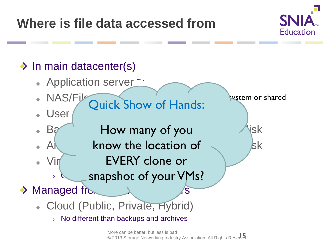### **Where is file data accessed from**



#### $\rightarrow$  In main datacenter(s) Application server NAS/File vstem or shared Quick Show of Hands: User Between How many of you this lisk A $\begin{matrix} \mathsf{A}\end{matrix}$  know the location of  $\begin{matrix} \mathsf{A}\end{matrix}$  kk Virtual Machines – When Note  $\sim$  Machines extending the normal value of  $\sim$ **Solenapshot of your VMs?** ゝ  $\rightarrow$  Managed from  $\rightarrow$  Managed from  $\rightarrow$  Ms Cloud (Public, Private, Hybrid)  $>$  No different than backups and archives

More can be better, but less is bad wore can be better, but less is bad<br>© 2013 Storage Networking Industry Association. All Rights Reserved.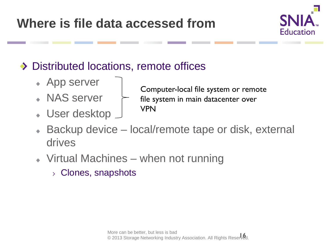

### ◆ Distributed locations, remote offices

- App server
- NAS server
- User desktop
- Computer-local file system or remote file system in main datacenter over VPN
- Backup device local/remote tape or disk, external drives
- Virtual Machines when not running
	- Clones, snapshots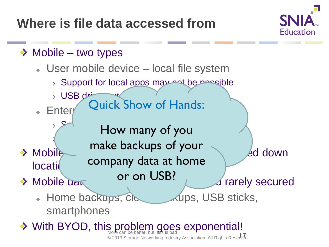**Where is file data accessed from**



#### $\rightarrow$  Mobile – two types

locatio

 $\geq$ 

- User mobile device local file system
	- $>$  Support for local apps may not be possible
	- $>$  USB drives  $\mathsf{Enter}$  Quick Show Or Quick Show of Hands:
- $\mathbb{R}$  How many of you Client hypervisor  $\text{Mobile}$  mane backaps of  $\text{Sone}$  and  $\text{Mobile}$ make backups of your company data at home or on USB?

- $\rightarrow$  Mobile data stores are even when  $\mu$  are every secured
	- Home backups, Cloud Aups, USB sticks, smartphones
- With BYOD, this problem goes exponential! wore can be better, but less is bad<br>© 2013 Storage Networking Industry Association. All Rights Reserved.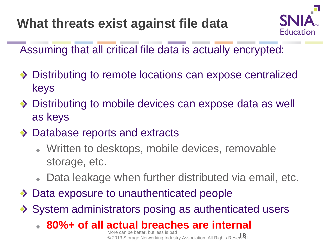

Assuming that all critical file data is actually encrypted:

- ◆ Distributing to remote locations can expose centralized keys
- ◆ Distributing to mobile devices can expose data as well as keys
- ◆ Database reports and extracts
	- Written to desktops, mobile devices, removable storage, etc.
	- Data leakage when further distributed via email, etc.
- ◆ Data exposure to unauthenticated people
- ◆ System administrators posing as authenticated users
	- **80%+ of all actual breaches are internal**

More can be better, but less is bad © 2013 Storage Networking Industry Association. All Rights Reserved. **18**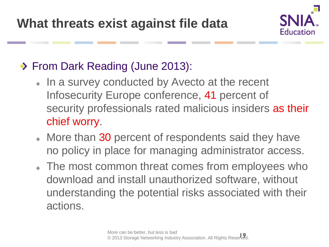

### ◆ From Dark Reading (June 2013):

- In a survey conducted by Avecto at the recent Infosecurity Europe conference, 41 percent of security professionals rated malicious insiders as their chief worry.
- More than 30 percent of respondents said they have no policy in place for managing administrator access.
- The most common threat comes from employees who download and install unauthorized software, without understanding the potential risks associated with their actions.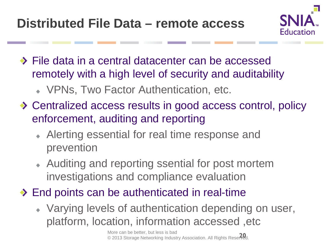

- ◆ File data in a central datacenter can be accessed remotely with a high level of security and auditability
	- VPNs, Two Factor Authentication, etc.
- ◆ Centralized access results in good access control, policy enforcement, auditing and reporting
	- Alerting essential for real time response and prevention
	- Auditing and reporting ssential for post mortem investigations and compliance evaluation
- ◆ End points can be authenticated in real-time
	- Varying levels of authentication depending on user, platform, location, information accessed ,etc

More can be better, but less is bad © 2013 Storage Networking Industry Association. All Rights Reserved. **20**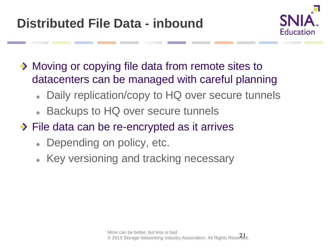

- ◆ Moving or copying file data from remote sites to datacenters can be managed with careful planning
	- Daily replication/copy to HQ over secure tunnels  $\ddot{\Phi}$
	- Backups to HQ over secure tunnels
- **Eile data can be re-encrypted as it arrives** 
	- Depending on policy, etc.
	- Key versioning and tracking necessary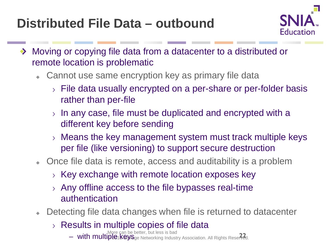## **Distributed File Data – outbound**



- Moving or copying file data from a datacenter to a distributed or remote location is problematic
	- Cannot use same encryption key as primary file data
		- File data usually encrypted on a per-share or per-folder basis rather than per-file
		- $>$  In any case, file must be duplicated and encrypted with a different key before sending
		- Means the key management system must track multiple keys per file (like versioning) to support secure destruction
	- Once file data is remote, access and auditability is a problem
		- $\rightarrow$  Key exchange with remote location exposes key
		- Any offline access to the file bypasses real-time  $\sum$ authentication
	- Detecting file data changes when file is returned to datacenter
		- $\rightarrow$  Results in multiple copies of file data
			- More can be better, but less is bad – **with multiple keys**ge Networking Industry Association. All Rights Reserved.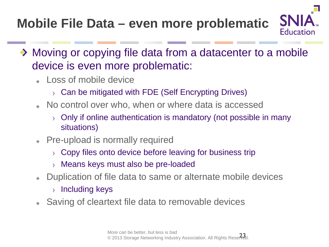# **Mobile File Data – even more problematic**



**SN** 

Education

- Loss of mobile device
	- $\rightarrow$  Can be mitigated with FDE (Self Encrypting Drives)
- No control over who, when or where data is accessed
	- Only if online authentication is mandatory (not possible in many  $\sum$ situations)
- Pre-upload is normally required
	- $\rightarrow$  Copy files onto device before leaving for business trip
	- Means keys must also be pre-loaded
- Duplication of file data to same or alternate mobile devices
	- $>$  Including keys
- Saving of cleartext file data to removable devices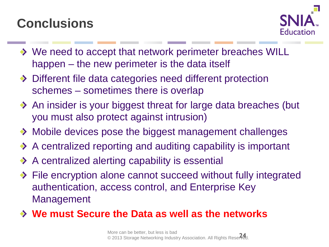### **Conclusions**



- ◆ We need to accept that network perimeter breaches WILL happen – the new perimeter is the data itself
- ◆ Different file data categories need different protection schemes – sometimes there is overlap
- ◆ An insider is your biggest threat for large data breaches (but you must also protect against intrusion)
- ◆ Mobile devices pose the biggest management challenges
- ◆ A centralized reporting and auditing capability is important
- $\rightarrow$  A centralized alerting capability is essential
- ◆ File encryption alone cannot succeed without fully integrated authentication, access control, and Enterprise Key Management
- **We must Secure the Data as well as the networks**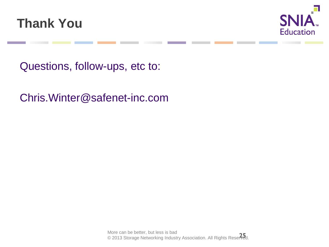



Questions, follow-ups, etc to:

Chris.Winter@safenet-inc.com

More can be better, but less is bad wore can be better, but less is bad<br>© 2013 Storage Networking Industry Association. All Rights Reserved.